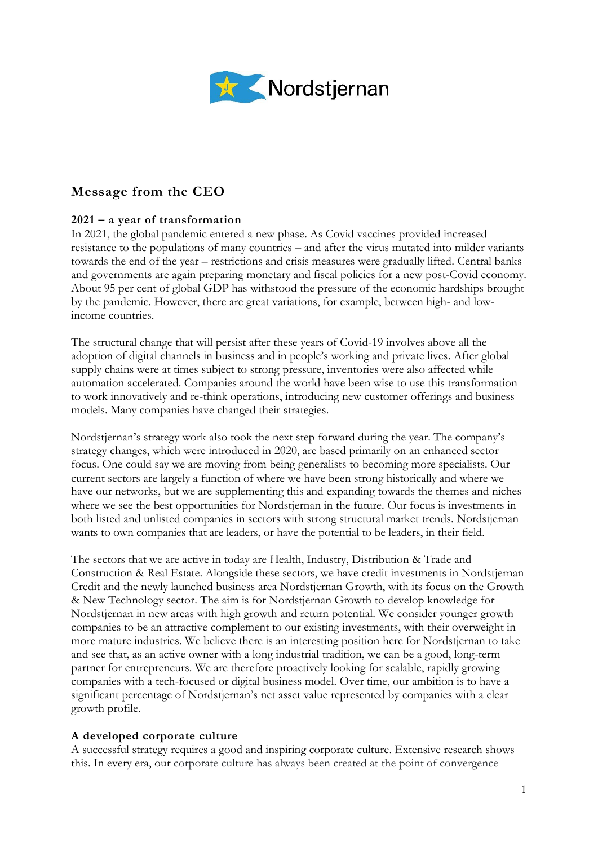

# **Message from the CEO**

## **2021 – a year of transformation**

In 2021, the global pandemic entered a new phase. As Covid vaccines provided increased resistance to the populations of many countries – and after the virus mutated into milder variants towards the end of the year – restrictions and crisis measures were gradually lifted. Central banks and governments are again preparing monetary and fiscal policies for a new post-Covid economy. About 95 per cent of global GDP has withstood the pressure of the economic hardships brought by the pandemic. However, there are great variations, for example, between high- and lowincome countries.

The structural change that will persist after these years of Covid-19 involves above all the adoption of digital channels in business and in people's working and private lives. After global supply chains were at times subject to strong pressure, inventories were also affected while automation accelerated. Companies around the world have been wise to use this transformation to work innovatively and re-think operations, introducing new customer offerings and business models. Many companies have changed their strategies.

Nordstjernan's strategy work also took the next step forward during the year. The company's strategy changes, which were introduced in 2020, are based primarily on an enhanced sector focus. One could say we are moving from being generalists to becoming more specialists. Our current sectors are largely a function of where we have been strong historically and where we have our networks, but we are supplementing this and expanding towards the themes and niches where we see the best opportunities for Nordstjernan in the future. Our focus is investments in both listed and unlisted companies in sectors with strong structural market trends. Nordstjernan wants to own companies that are leaders, or have the potential to be leaders, in their field.

The sectors that we are active in today are Health, Industry, Distribution & Trade and Construction & Real Estate. Alongside these sectors, we have credit investments in Nordstjernan Credit and the newly launched business area Nordstjernan Growth, with its focus on the Growth & New Technology sector. The aim is for Nordstjernan Growth to develop knowledge for Nordstjernan in new areas with high growth and return potential. We consider younger growth companies to be an attractive complement to our existing investments, with their overweight in more mature industries. We believe there is an interesting position here for Nordstjernan to take and see that, as an active owner with a long industrial tradition, we can be a good, long-term partner for entrepreneurs. We are therefore proactively looking for scalable, rapidly growing companies with a tech-focused or digital business model. Over time, our ambition is to have a significant percentage of Nordstjernan's net asset value represented by companies with a clear growth profile.

### **A developed corporate culture**

A successful strategy requires a good and inspiring corporate culture. Extensive research shows this. In every era, our corporate culture has always been created at the point of convergence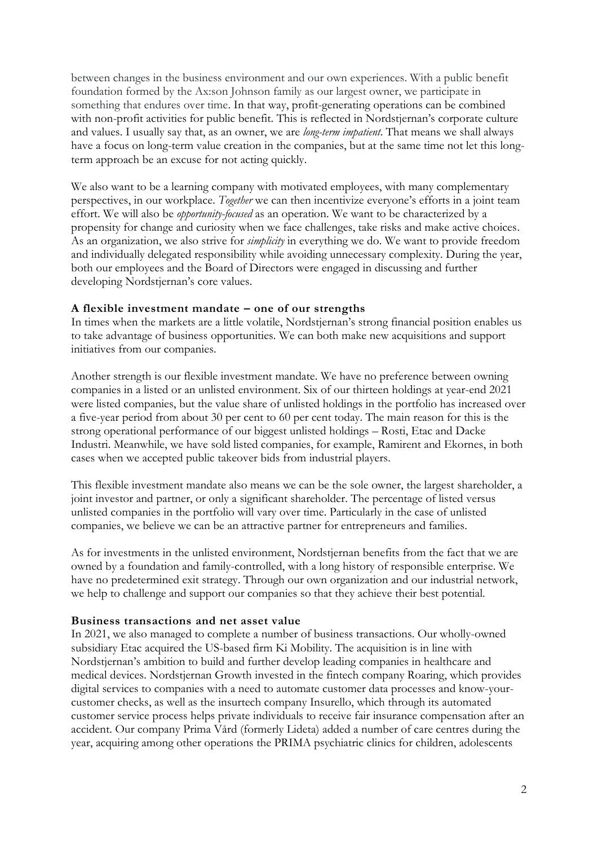between changes in the business environment and our own experiences. With a public benefit foundation formed by the Ax:son Johnson family as our largest owner, we participate in something that endures over time. In that way, profit-generating operations can be combined with non-profit activities for public benefit. This is reflected in Nordstjernan's corporate culture and values. I usually say that, as an owner, we are *long-term impatient*. That means we shall always have a focus on long-term value creation in the companies, but at the same time not let this longterm approach be an excuse for not acting quickly.

We also want to be a learning company with motivated employees, with many complementary perspectives, in our workplace. *Together* we can then incentivize everyone's efforts in a joint team effort. We will also be *opportunity-focused* as an operation. We want to be characterized by a propensity for change and curiosity when we face challenges, take risks and make active choices. As an organization, we also strive for *simplicity* in everything we do. We want to provide freedom and individually delegated responsibility while avoiding unnecessary complexity. During the year, both our employees and the Board of Directors were engaged in discussing and further developing Nordstjernan's core values.

#### **A flexible investment mandate – one of our strengths**

In times when the markets are a little volatile, Nordstjernan's strong financial position enables us to take advantage of business opportunities. We can both make new acquisitions and support initiatives from our companies.

Another strength is our flexible investment mandate. We have no preference between owning companies in a listed or an unlisted environment. Six of our thirteen holdings at year-end 2021 were listed companies, but the value share of unlisted holdings in the portfolio has increased over a five-year period from about 30 per cent to 60 per cent today. The main reason for this is the strong operational performance of our biggest unlisted holdings – Rosti, Etac and Dacke Industri. Meanwhile, we have sold listed companies, for example, Ramirent and Ekornes, in both cases when we accepted public takeover bids from industrial players.

This flexible investment mandate also means we can be the sole owner, the largest shareholder, a joint investor and partner, or only a significant shareholder. The percentage of listed versus unlisted companies in the portfolio will vary over time. Particularly in the case of unlisted companies, we believe we can be an attractive partner for entrepreneurs and families.

As for investments in the unlisted environment, Nordstjernan benefits from the fact that we are owned by a foundation and family-controlled, with a long history of responsible enterprise. We have no predetermined exit strategy. Through our own organization and our industrial network, we help to challenge and support our companies so that they achieve their best potential.

#### **Business transactions and net asset value**

In 2021, we also managed to complete a number of business transactions. Our wholly-owned subsidiary Etac acquired the US-based firm Ki Mobility. The acquisition is in line with Nordstjernan's ambition to build and further develop leading companies in healthcare and medical devices. Nordstjernan Growth invested in the fintech company Roaring, which provides digital services to companies with a need to automate customer data processes and know-yourcustomer checks, as well as the insurtech company Insurello, which through its automated customer service process helps private individuals to receive fair insurance compensation after an accident. Our company Prima Vård (formerly Lideta) added a number of care centres during the year, acquiring among other operations the PRIMA psychiatric clinics for children, adolescents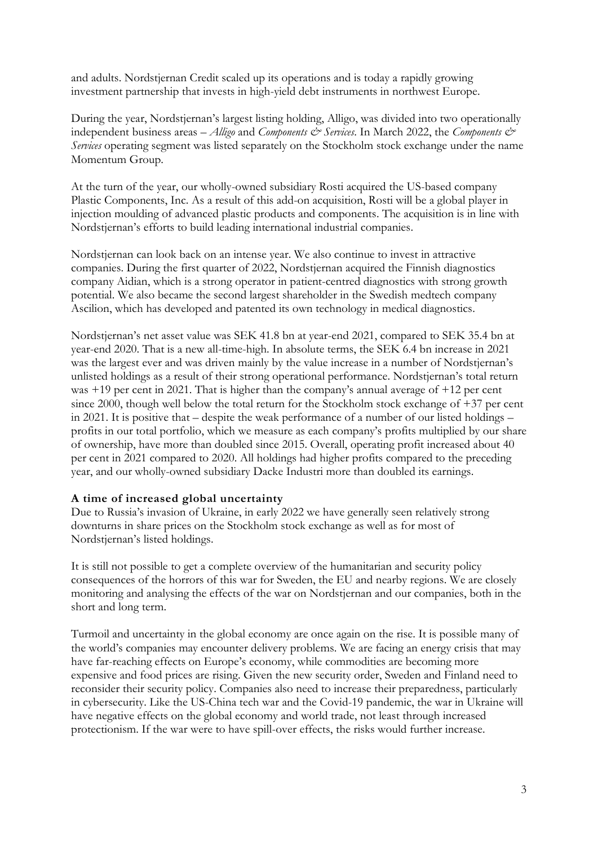and adults. Nordstjernan Credit scaled up its operations and is today a rapidly growing investment partnership that invests in high-yield debt instruments in northwest Europe.

During the year, Nordstjernan's largest listing holding, Alligo, was divided into two operationally independent business areas – *Alligo* and *Components*  $\mathscr{E}$  Services. In March 2022, the *Components*  $\mathscr{E}$ *Services* operating segment was listed separately on the Stockholm stock exchange under the name Momentum Group.

At the turn of the year, our wholly-owned subsidiary Rosti acquired the US-based company Plastic Components, Inc. As a result of this add-on acquisition, Rosti will be a global player in injection moulding of advanced plastic products and components. The acquisition is in line with Nordstjernan's efforts to build leading international industrial companies.

Nordstjernan can look back on an intense year. We also continue to invest in attractive companies. During the first quarter of 2022, Nordstjernan acquired the Finnish diagnostics company Aidian, which is a strong operator in patient-centred diagnostics with strong growth potential. We also became the second largest shareholder in the Swedish medtech company Ascilion, which has developed and patented its own technology in medical diagnostics.

Nordstjernan's net asset value was SEK 41.8 bn at year-end 2021, compared to SEK 35.4 bn at year-end 2020. That is a new all-time-high. In absolute terms, the SEK 6.4 bn increase in 2021 was the largest ever and was driven mainly by the value increase in a number of Nordstjernan's unlisted holdings as a result of their strong operational performance. Nordstjernan's total return was +19 per cent in 2021. That is higher than the company's annual average of +12 per cent since 2000, though well below the total return for the Stockholm stock exchange of +37 per cent in 2021. It is positive that – despite the weak performance of a number of our listed holdings – profits in our total portfolio, which we measure as each company's profits multiplied by our share of ownership, have more than doubled since 2015. Overall, operating profit increased about 40 per cent in 2021 compared to 2020. All holdings had higher profits compared to the preceding year, and our wholly-owned subsidiary Dacke Industri more than doubled its earnings.

### **A time of increased global uncertainty**

Due to Russia's invasion of Ukraine, in early 2022 we have generally seen relatively strong downturns in share prices on the Stockholm stock exchange as well as for most of Nordstjernan's listed holdings.

It is still not possible to get a complete overview of the humanitarian and security policy consequences of the horrors of this war for Sweden, the EU and nearby regions. We are closely monitoring and analysing the effects of the war on Nordstjernan and our companies, both in the short and long term.

Turmoil and uncertainty in the global economy are once again on the rise. It is possible many of the world's companies may encounter delivery problems. We are facing an energy crisis that may have far-reaching effects on Europe's economy, while commodities are becoming more expensive and food prices are rising. Given the new security order, Sweden and Finland need to reconsider their security policy. Companies also need to increase their preparedness, particularly in cybersecurity. Like the US-China tech war and the Covid-19 pandemic, the war in Ukraine will have negative effects on the global economy and world trade, not least through increased protectionism. If the war were to have spill-over effects, the risks would further increase.